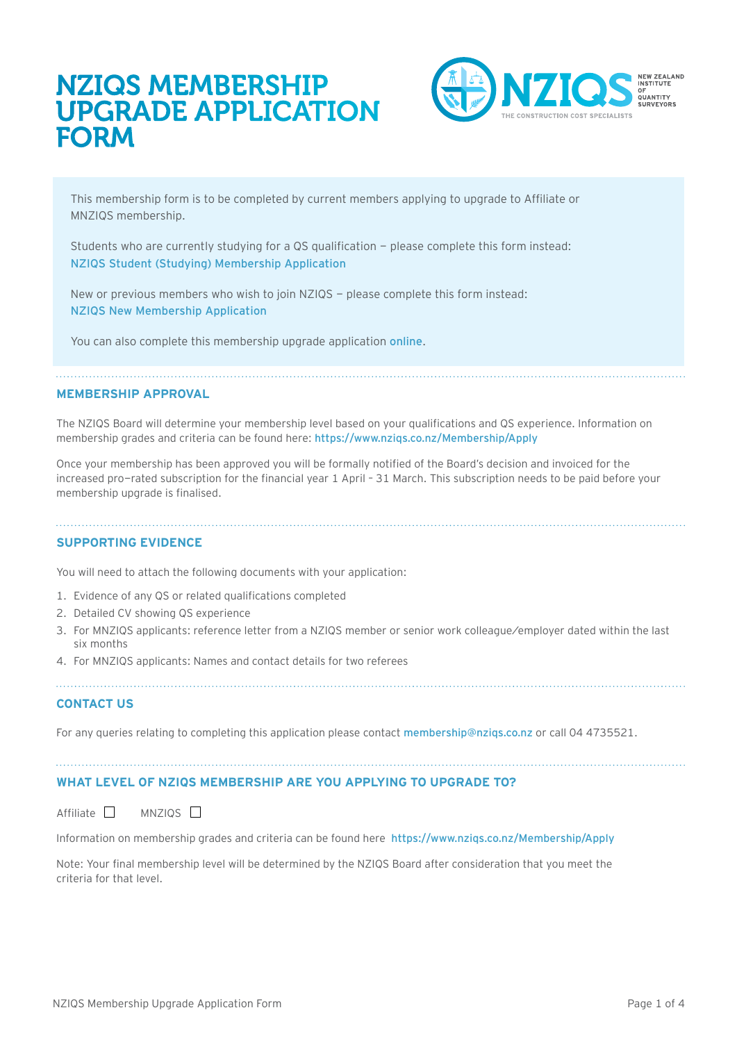# NZIQS MEMBERSHIP UPGRADE APPLICATION FORM



This membership form is to be completed by current members applying to upgrade to Affiliate or MNZIQS membership.

Students who are currently studying for a QS qualification - please complete this form instead: [NZIQS Student \(Studying\) Membership Application](https://www.nziqs.co.nz/forms)

New or previous members who wish to join NZIQS - please complete this form instead: [NZIQS New Membership Application](https://www.nziqs.co.nz/forms) 

You can also complete this membership upgrade application [online](https://www.nziqs.co.nz/Membership/Apply).

#### **MEMBERSHIP APPROVAL**

The NZIQS Board will determine your membership level based on your qualifications and QS experience. Information on membership grades and criteria can be found here: <https://www.nziqs.co.nz/Membership/Apply>

Once your membership has been approved you will be formally notified of the Board's decision and invoiced for the increased pro-rated subscription for the financial year 1 April – 31 March. This subscription needs to be paid before your membership upgrade is finalised.

## **SUPPORTING EVIDENCE**

You will need to attach the following documents with your application:

- 1. Evidence of any QS or related qualifications completed
- 2. Detailed CV showing QS experience
- 3. For MNZIQS applicants: reference letter from a NZIQS member or senior work colleague/employer dated within the last six months
- 4. For MNZIQS applicants: Names and contact details for two referees

## **CONTACT US**

For any queries relating to completing this application please contact membership@nzigs.co.nz or call 04 4735521.

## **WHAT LEVEL OF NZIQS MEMBERSHIP ARE YOU APPLYING TO UPGRADE TO?**

 $Affiliate$  MNZIQS  $\Box$ 

Information on membership grades and criteria can be found here <https://www.nziqs.co.nz/Membership/Apply>

Note: Your final membership level will be determined by the NZIQS Board after consideration that you meet the criteria for that level.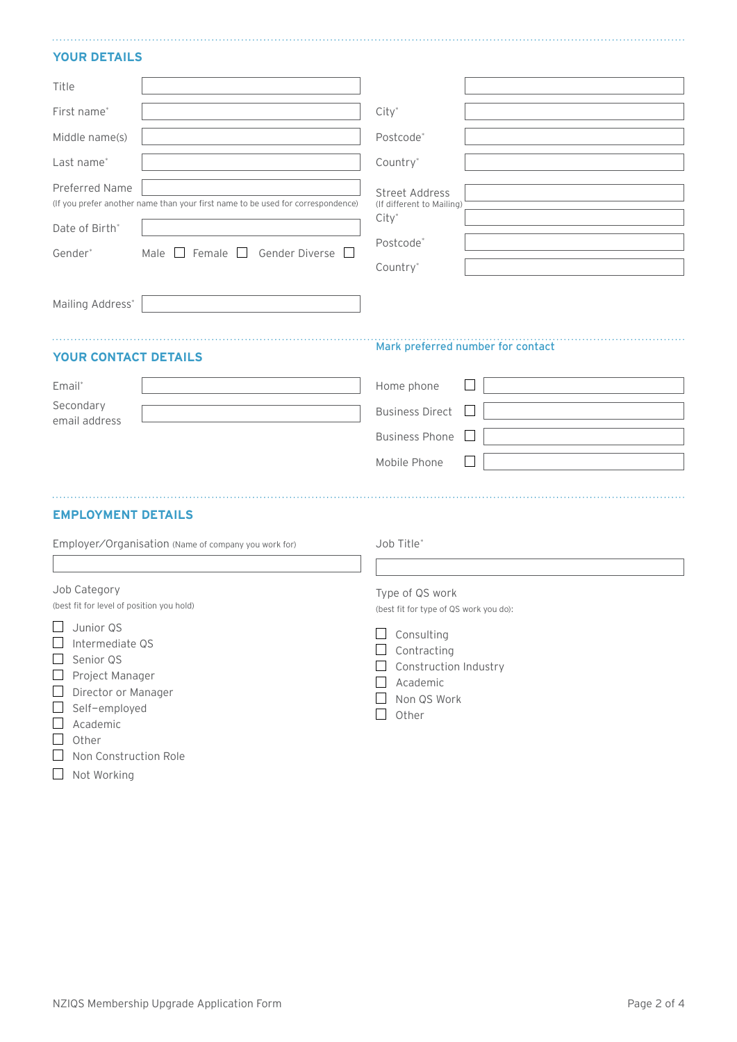#### **YOUR DETAILS**

| Title                                                                                                                                                                                                         |                                                                                                                             |                                                                                                                              |
|---------------------------------------------------------------------------------------------------------------------------------------------------------------------------------------------------------------|-----------------------------------------------------------------------------------------------------------------------------|------------------------------------------------------------------------------------------------------------------------------|
| First name*                                                                                                                                                                                                   |                                                                                                                             | $City^*$                                                                                                                     |
| Middle name(s)                                                                                                                                                                                                |                                                                                                                             | Postcode*                                                                                                                    |
| Last name*                                                                                                                                                                                                    |                                                                                                                             | Country*                                                                                                                     |
| Preferred Name<br>Date of Birth*<br>Gender*                                                                                                                                                                   | (If you prefer another name than your first name to be used for correspondence)<br>Male $\Box$ Female $\Box$ Gender Diverse | <b>Street Address</b><br>(If different to Mailing)<br>$City^*$<br>Postcode*<br>Country*                                      |
| Mailing Address*                                                                                                                                                                                              |                                                                                                                             |                                                                                                                              |
| <b>YOUR CONTACT DETAILS</b>                                                                                                                                                                                   |                                                                                                                             | Mark preferred number for contact                                                                                            |
| Email*                                                                                                                                                                                                        |                                                                                                                             | Home phone                                                                                                                   |
| Secondary<br>email address                                                                                                                                                                                    |                                                                                                                             | <b>Business Direct</b><br>$\mathbf{L}$                                                                                       |
|                                                                                                                                                                                                               |                                                                                                                             | <b>Business Phone</b>                                                                                                        |
|                                                                                                                                                                                                               |                                                                                                                             | Mobile Phone                                                                                                                 |
| <b>EMPLOYMENT DETAILS</b><br>Employer/Organisation (Name of company you work for)                                                                                                                             |                                                                                                                             | Job Title*                                                                                                                   |
| Job Category<br>(best fit for level of position you hold)                                                                                                                                                     |                                                                                                                             | Type of QS work<br>(best fit for type of QS work you do):                                                                    |
| $\Box$ Junior QS<br>$\Box$<br>Intermediate QS<br>Senior QS<br>⊔<br>Project Manager<br>$\Box$<br>Director or Manager<br>$\sqcup$<br>Self-employed<br>ப<br>Academic<br>ப<br>Other<br>⊔<br>Non Construction Role |                                                                                                                             | Consulting<br>$\Box$<br>Contracting<br>$\Box$ Construction Industry<br>Academic<br>$\Box$<br>Non QS Work<br>Other<br>$\perp$ |

Not Working

NZIQS Membership Upgrade Application Form example and the state of the Page 2 of 4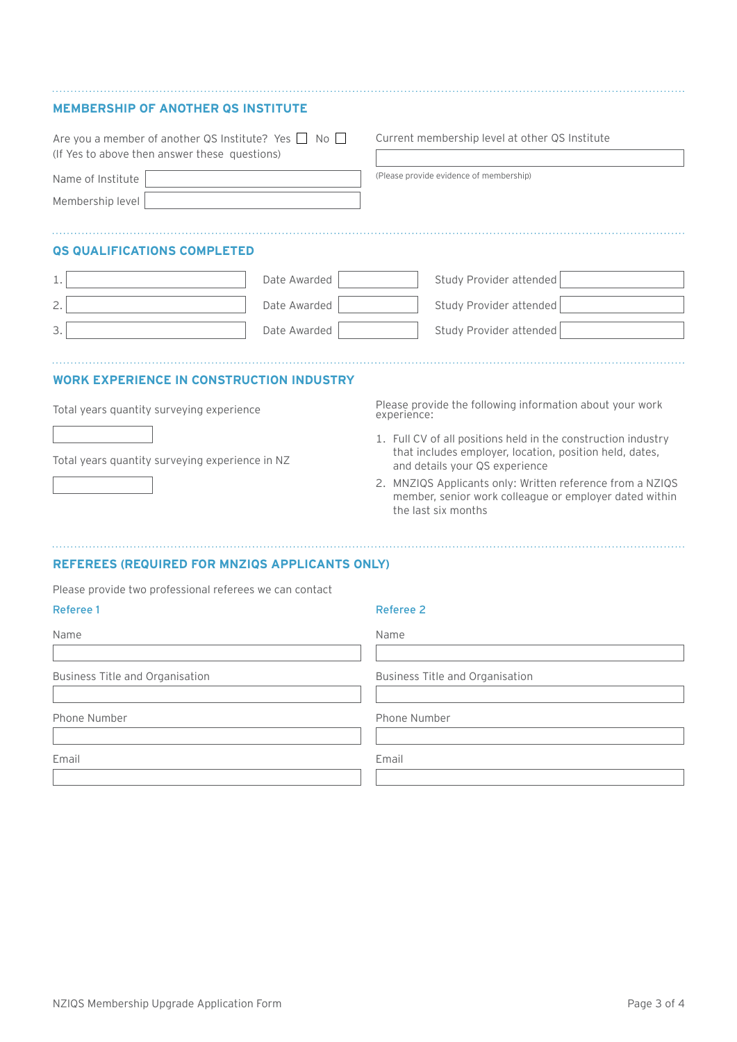| <b>MEMBERSHIP OF ANOTHER OS INSTITUTE</b>                                                                        |              |                                                                                                                                                                                                                                                                                                          |
|------------------------------------------------------------------------------------------------------------------|--------------|----------------------------------------------------------------------------------------------------------------------------------------------------------------------------------------------------------------------------------------------------------------------------------------------------------|
| Are you a member of another QS Institute? Yes $\Box$ No $\Box$<br>(If Yes to above then answer these questions)  |              | Current membership level at other QS Institute                                                                                                                                                                                                                                                           |
| Name of Institute                                                                                                |              | (Please provide evidence of membership)                                                                                                                                                                                                                                                                  |
| Membership level                                                                                                 |              |                                                                                                                                                                                                                                                                                                          |
| <b>QS QUALIFICATIONS COMPLETED</b>                                                                               |              |                                                                                                                                                                                                                                                                                                          |
| 1.                                                                                                               | Date Awarded | Study Provider attended                                                                                                                                                                                                                                                                                  |
| 2.                                                                                                               | Date Awarded | Study Provider attended                                                                                                                                                                                                                                                                                  |
| 3.                                                                                                               | Date Awarded | Study Provider attended                                                                                                                                                                                                                                                                                  |
| <b>WORK EXPERIENCE IN CONSTRUCTION INDUSTRY</b><br>Total years quantity surveying experience                     |              | Please provide the following information about your work<br>experience:                                                                                                                                                                                                                                  |
| Total years quantity surveying experience in NZ                                                                  |              | 1. Full CV of all positions held in the construction industry<br>that includes employer, location, position held, dates,<br>and details your QS experience<br>2. MNZIQS Applicants only: Written reference from a NZIQS<br>member, senior work colleague or employer dated within<br>the last six months |
| <b>REFEREES (REQUIRED FOR MNZIQS APPLICANTS ONLY)</b><br>Please provide two professional referees we can contact |              |                                                                                                                                                                                                                                                                                                          |
| Referee 1                                                                                                        |              | Referee 2                                                                                                                                                                                                                                                                                                |
| Name                                                                                                             |              | Name                                                                                                                                                                                                                                                                                                     |
|                                                                                                                  |              |                                                                                                                                                                                                                                                                                                          |

Business<sup>1</sup>

Phone Nu

Email

|                        | Name                            |
|------------------------|---------------------------------|
| Title and Organisation | Business Title and Organisation |
| ımber                  | Phone Number                    |
|                        | Email                           |